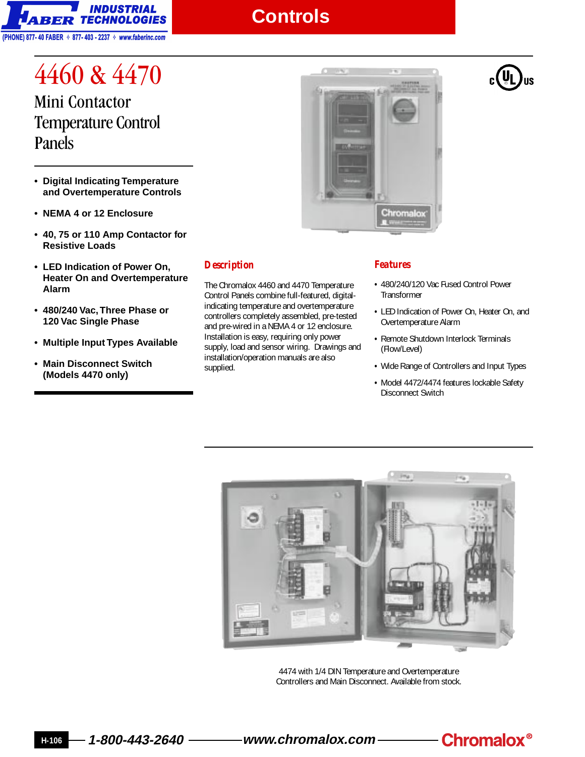

## **Controls**

4460 & 4470 Mini Contactor Temperature Control Panels

- **Digital Indicating Temperature and Overtemperature Controls**
- **NEMA 4 or 12 Enclosure**
- **40, 75 or 110 Amp Contactor for Resistive Loads**
- **LED Indication of Power On, Heater On and Overtemperature Alarm**
- **480/240 Vac, Three Phase or 120 Vac Single Phase**
- **Multiple Input Types Available**
- **Main Disconnect Switch (Models 4470 only)**



## *Description*

The Chromalox 4460 and 4470 Temperature Control Panels combine full-featured, digitalindicating temperature and overtemperature controllers completely assembled, pre-tested and pre-wired in a NEMA 4 or 12 enclosure. Installation is easy, requiring only power supply, load and sensor wiring. Drawings and installation/operation manuals are also supplied.

## *Features*

- **•** 480/240/120 Vac Fused Control Power **Transformer**
- **•** LED Indication of Power On, Heater On, and Overtemperature Alarm
- **•** Remote Shutdown Interlock Terminals (Flow/Level)
- **•** Wide Range of Controllers and Input Types
- **•** Model 4472/4474 features lockable Safety Disconnect Switch



4474 with 1/4 DIN Temperature and Overtemperature Controllers and Main Disconnect. Available from stock.



**H-106 1-800-443-2640 www.chromalox.com**